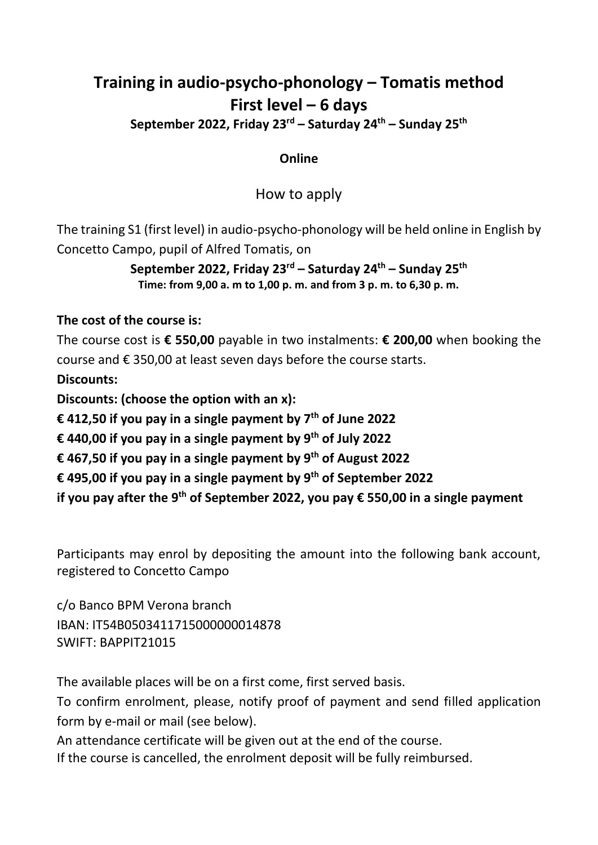## **Training in audio-psycho-phonology – Tomatis method First level – 6 days**

**September 2022, Friday 23 rd – Saturday 24 th – Sunday 25th**

## **Online**

How to apply

The training S1 (first level) in audio-psycho-phonology will be held online in English by Concetto Campo, pupil of Alfred Tomatis, on

> **September 2022, Friday 23rd – Saturday 24th – Sunday 25th Time: from 9,00 a. m to 1,00 p. m. and from 3 p. m. to 6,30 p. m.**

## **The cost of the course is:**

The course cost is **€ 550,00** payable in two instalments: **€ 200,00** when booking the course and € 350,00 at least seven days before the course starts.

## **Discounts:**

**Discounts: (choose the option with an x):**

**€ 412,50 if you pay in a single payment by 7th of June 2022**

**€ 440,00 if you pay in a single payment by 9th of July 2022**

**€ 467,50 if you pay in a single payment by 9th of August 2022**

**€ 495,00 if you pay in a single payment by 9th of September 2022**

**if you pay after the 9th of September 2022, you pay € 550,00 in a single payment**

Participants may enrol by depositing the amount into the following bank account, registered to Concetto Campo

c/o Banco BPM Verona branch IBAN: IT54B0503411715000000014878 SWIFT: BAPPIT21015

The available places will be on a first come, first served basis.

To confirm enrolment, please, notify proof of payment and send filled application form by e-mail or mail (see below).

An attendance certificate will be given out at the end of the course.

If the course is cancelled, the enrolment deposit will be fully reimbursed.